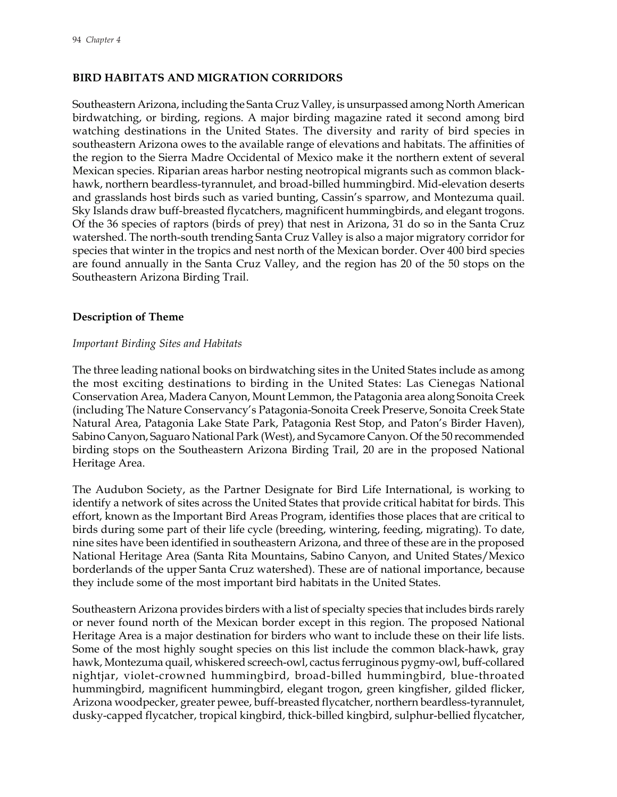# **BIRD HABITATS AND MIGRATION CORRIDORS**

Southeastern Arizona, including the Santa Cruz Valley, is unsurpassed among North American birdwatching, or birding, regions. A major birding magazine rated it second among bird watching destinations in the United States. The diversity and rarity of bird species in southeastern Arizona owes to the available range of elevations and habitats. The affinities of the region to the Sierra Madre Occidental of Mexico make it the northern extent of several Mexican species. Riparian areas harbor nesting neotropical migrants such as common blackhawk, northern beardless-tyrannulet, and broad-billed hummingbird. Mid-elevation deserts and grasslands host birds such as varied bunting, Cassin's sparrow, and Montezuma quail. Sky Islands draw buff-breasted flycatchers, magnificent hummingbirds, and elegant trogons. Of the 36 species of raptors (birds of prey) that nest in Arizona, 31 do so in the Santa Cruz watershed. The north-south trending Santa Cruz Valley is also a major migratory corridor for species that winter in the tropics and nest north of the Mexican border. Over 400 bird species are found annually in the Santa Cruz Valley, and the region has 20 of the 50 stops on the Southeastern Arizona Birding Trail.

### **Description of Theme**

### *Important Birding Sites and Habitats*

The three leading national books on birdwatching sites in the United States include as among the most exciting destinations to birding in the United States: Las Cienegas National Conservation Area, Madera Canyon, Mount Lemmon, the Patagonia area along Sonoita Creek (including The Nature Conservancy's Patagonia-Sonoita Creek Preserve, Sonoita Creek State Natural Area, Patagonia Lake State Park, Patagonia Rest Stop, and Paton's Birder Haven), Sabino Canyon, Saguaro National Park (West), and Sycamore Canyon. Of the 50 recommended birding stops on the Southeastern Arizona Birding Trail, 20 are in the proposed National Heritage Area.

The Audubon Society, as the Partner Designate for Bird Life International, is working to identify a network of sites across the United States that provide critical habitat for birds. This effort, known as the Important Bird Areas Program, identifies those places that are critical to birds during some part of their life cycle (breeding, wintering, feeding, migrating). To date, nine sites have been identified in southeastern Arizona, and three of these are in the proposed National Heritage Area (Santa Rita Mountains, Sabino Canyon, and United States/Mexico borderlands of the upper Santa Cruz watershed). These are of national importance, because they include some of the most important bird habitats in the United States.

Southeastern Arizona provides birders with a list of specialty species that includes birds rarely or never found north of the Mexican border except in this region. The proposed National Heritage Area is a major destination for birders who want to include these on their life lists. Some of the most highly sought species on this list include the common black-hawk, gray hawk, Montezuma quail, whiskered screech-owl, cactus ferruginous pygmy-owl, buff-collared nightjar, violet-crowned hummingbird, broad-billed hummingbird, blue-throated hummingbird, magnificent hummingbird, elegant trogon, green kingfisher, gilded flicker, Arizona woodpecker, greater pewee, buff-breasted flycatcher, northern beardless-tyrannulet, dusky-capped flycatcher, tropical kingbird, thick-billed kingbird, sulphur-bellied flycatcher,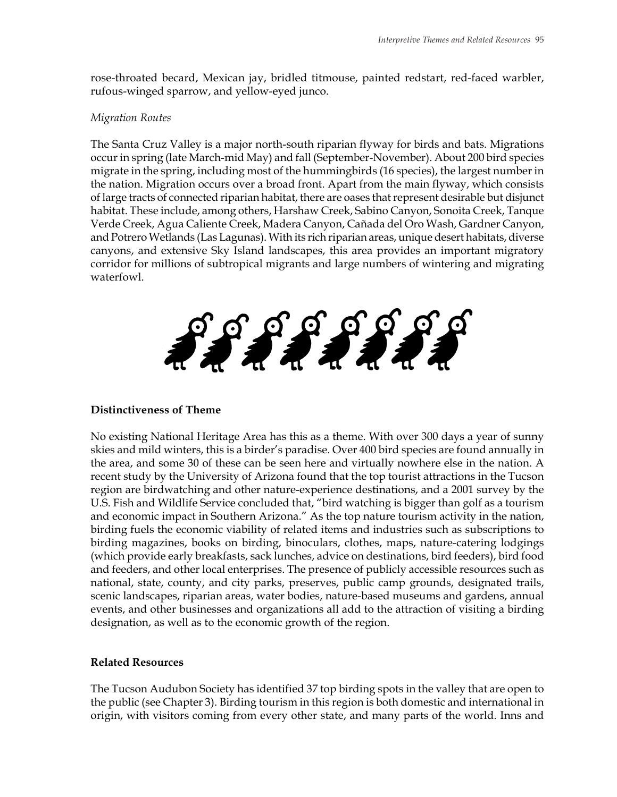rose-throated becard, Mexican jay, bridled titmouse, painted redstart, red-faced warbler, rufous-winged sparrow, and yellow-eyed junco.

#### *Migration Routes*

The Santa Cruz Valley is a major north-south riparian flyway for birds and bats. Migrations occur in spring (late March-mid May) and fall (September-November). About 200 bird species migrate in the spring, including most of the hummingbirds (16 species), the largest number in the nation. Migration occurs over a broad front. Apart from the main flyway, which consists of large tracts of connected riparian habitat, there are oases that represent desirable but disjunct habitat. These include, among others, Harshaw Creek, Sabino Canyon, Sonoita Creek, Tanque Verde Creek, Agua Caliente Creek, Madera Canyon, Cañada del Oro Wash, Gardner Canyon, and Potrero Wetlands (Las Lagunas). With its rich riparian areas, unique desert habitats, diverse canyons, and extensive Sky Island landscapes, this area provides an important migratory corridor for millions of subtropical migrants and large numbers of wintering and migrating waterfowl.



## **Distinctiveness of Theme**

No existing National Heritage Area has this as a theme. With over 300 days a year of sunny skies and mild winters, this is a birder's paradise. Over 400 bird species are found annually in the area, and some 30 of these can be seen here and virtually nowhere else in the nation. A recent study by the University of Arizona found that the top tourist attractions in the Tucson region are birdwatching and other nature-experience destinations, and a 2001 survey by the U.S. Fish and Wildlife Service concluded that, "bird watching is bigger than golf as a tourism and economic impact in Southern Arizona." As the top nature tourism activity in the nation, birding fuels the economic viability of related items and industries such as subscriptions to birding magazines, books on birding, binoculars, clothes, maps, nature-catering lodgings (which provide early breakfasts, sack lunches, advice on destinations, bird feeders), bird food and feeders, and other local enterprises. The presence of publicly accessible resources such as national, state, county, and city parks, preserves, public camp grounds, designated trails, scenic landscapes, riparian areas, water bodies, nature-based museums and gardens, annual events, and other businesses and organizations all add to the attraction of visiting a birding designation, as well as to the economic growth of the region.

## **Related Resources**

The Tucson Audubon Society has identified 37 top birding spots in the valley that are open to the public (see Chapter 3). Birding tourism in this region is both domestic and international in origin, with visitors coming from every other state, and many parts of the world. Inns and